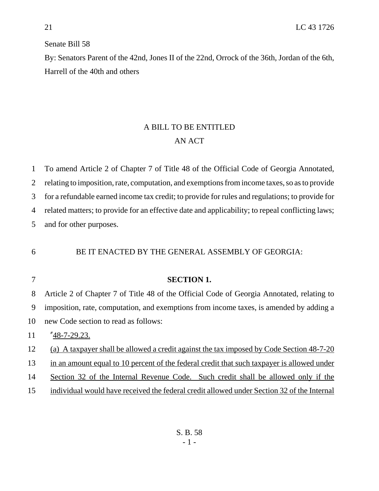### Senate Bill 58

By: Senators Parent of the 42nd, Jones II of the 22nd, Orrock of the 36th, Jordan of the 6th, Harrell of the 40th and others

# A BILL TO BE ENTITLED AN ACT

 To amend Article 2 of Chapter 7 of Title 48 of the Official Code of Georgia Annotated, relating to imposition, rate, computation, and exemptions from income taxes, so as to provide for a refundable earned income tax credit; to provide for rules and regulations; to provide for related matters; to provide for an effective date and applicability; to repeal conflicting laws; and for other purposes.

## BE IT ENACTED BY THE GENERAL ASSEMBLY OF GEORGIA:

## **SECTION 1.**

 Article 2 of Chapter 7 of Title 48 of the Official Code of Georgia Annotated, relating to imposition, rate, computation, and exemptions from income taxes, is amended by adding a new Code section to read as follows: "48-7-29.23.

(a) A taxpayer shall be allowed a credit against the tax imposed by Code Section 48-7-20

in an amount equal to 10 percent of the federal credit that such taxpayer is allowed under

Section 32 of the Internal Revenue Code. Such credit shall be allowed only if the

individual would have received the federal credit allowed under Section 32 of the Internal